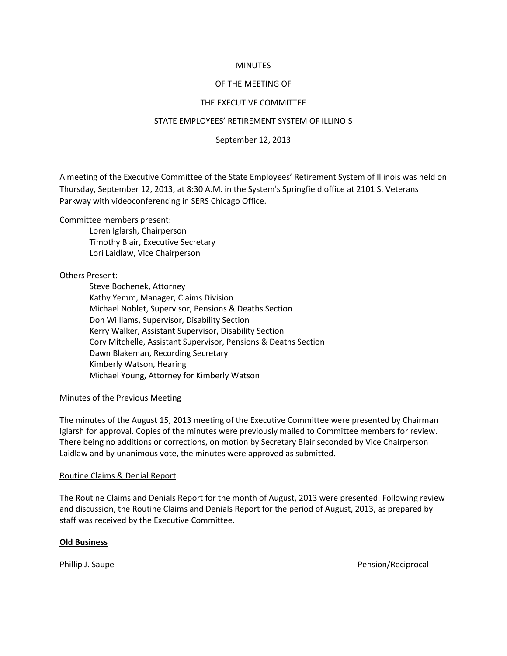#### **MINUTES**

## OF THE MEETING OF

## THE EXECUTIVE COMMITTEE

#### STATE EMPLOYEES' RETIREMENT SYSTEM OF ILLINOIS

September 12, 2013

A meeting of the Executive Committee of the State Employees' Retirement System of Illinois was held on Thursday, September 12, 2013, at 8:30 A.M. in the System's Springfield office at 2101 S. Veterans Parkway with videoconferencing in SERS Chicago Office.

## Committee members present:

Loren Iglarsh, Chairperson Timothy Blair, Executive Secretary Lori Laidlaw, Vice Chairperson

## Others Present:

Steve Bochenek, Attorney Kathy Yemm, Manager, Claims Division Michael Noblet, Supervisor, Pensions & Deaths Section Don Williams, Supervisor, Disability Section Kerry Walker, Assistant Supervisor, Disability Section Cory Mitchelle, Assistant Supervisor, Pensions & Deaths Section Dawn Blakeman, Recording Secretary Kimberly Watson, Hearing Michael Young, Attorney for Kimberly Watson

#### Minutes of the Previous Meeting

The minutes of the August 15, 2013 meeting of the Executive Committee were presented by Chairman Iglarsh for approval. Copies of the minutes were previously mailed to Committee members for review. There being no additions or corrections, on motion by Secretary Blair seconded by Vice Chairperson Laidlaw and by unanimous vote, the minutes were approved as submitted.

#### Routine Claims & Denial Report

The Routine Claims and Denials Report for the month of August, 2013 were presented. Following review and discussion, the Routine Claims and Denials Report for the period of August, 2013, as prepared by staff was received by the Executive Committee.

#### **Old Business**

Phillip J. Saupe **Pension/Reciprocal**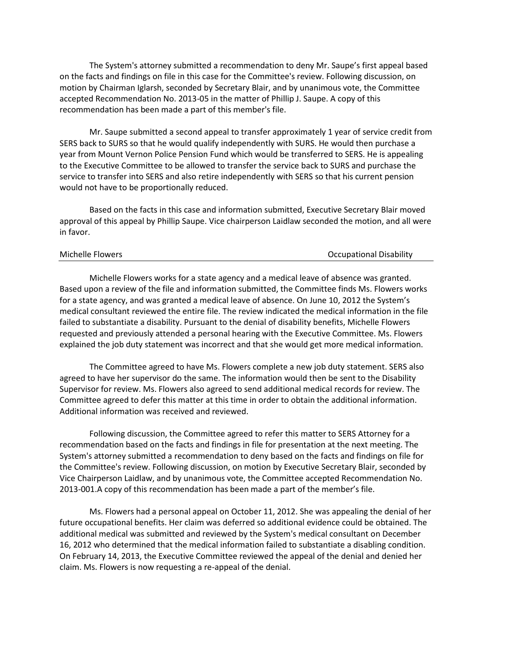The System's attorney submitted a recommendation to deny Mr. Saupe's first appeal based on the facts and findings on file in this case for the Committee's review. Following discussion, on motion by Chairman Iglarsh, seconded by Secretary Blair, and by unanimous vote, the Committee accepted Recommendation No. 2013-05 in the matter of Phillip J. Saupe. A copy of this recommendation has been made a part of this member's file.

Mr. Saupe submitted a second appeal to transfer approximately 1 year of service credit from SERS back to SURS so that he would qualify independently with SURS. He would then purchase a year from Mount Vernon Police Pension Fund which would be transferred to SERS. He is appealing to the Executive Committee to be allowed to transfer the service back to SURS and purchase the service to transfer into SERS and also retire independently with SERS so that his current pension would not have to be proportionally reduced.

Based on the facts in this case and information submitted, Executive Secretary Blair moved approval of this appeal by Phillip Saupe. Vice chairperson Laidlaw seconded the motion, and all were in favor.

## Michelle Flowers **Michelle Flowers Michelle Flowers Occupational Disability**

Michelle Flowers works for a state agency and a medical leave of absence was granted. Based upon a review of the file and information submitted, the Committee finds Ms. Flowers works for a state agency, and was granted a medical leave of absence. On June 10, 2012 the System's medical consultant reviewed the entire file. The review indicated the medical information in the file failed to substantiate a disability. Pursuant to the denial of disability benefits, Michelle Flowers requested and previously attended a personal hearing with the Executive Committee. Ms. Flowers explained the job duty statement was incorrect and that she would get more medical information.

The Committee agreed to have Ms. Flowers complete a new job duty statement. SERS also agreed to have her supervisor do the same. The information would then be sent to the Disability Supervisor for review. Ms. Flowers also agreed to send additional medical records for review. The Committee agreed to defer this matter at this time in order to obtain the additional information. Additional information was received and reviewed.

Following discussion, the Committee agreed to refer this matter to SERS Attorney for a recommendation based on the facts and findings in file for presentation at the next meeting. The System's attorney submitted a recommendation to deny based on the facts and findings on file for the Committee's review. Following discussion, on motion by Executive Secretary Blair, seconded by Vice Chairperson Laidlaw, and by unanimous vote, the Committee accepted Recommendation No. 2013-001.A copy of this recommendation has been made a part of the member's file.

Ms. Flowers had a personal appeal on October 11, 2012. She was appealing the denial of her future occupational benefits. Her claim was deferred so additional evidence could be obtained. The additional medical was submitted and reviewed by the System's medical consultant on December 16, 2012 who determined that the medical information failed to substantiate a disabling condition. On February 14, 2013, the Executive Committee reviewed the appeal of the denial and denied her claim. Ms. Flowers is now requesting a re-appeal of the denial.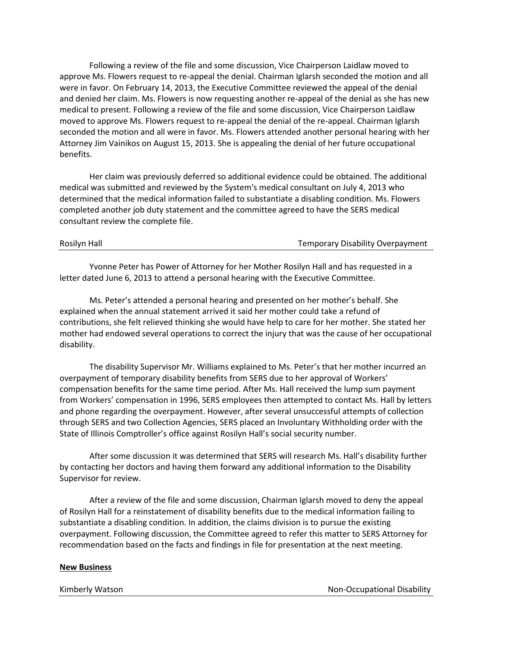Following a review of the file and some discussion, Vice Chairperson Laidlaw moved to approve Ms. Flowers request to re-appeal the denial. Chairman Iglarsh seconded the motion and all were in favor. On February 14, 2013, the Executive Committee reviewed the appeal of the denial and denied her claim. Ms. Flowers is now requesting another re-appeal of the denial as she has new medical to present. Following a review of the file and some discussion, Vice Chairperson Laidlaw moved to approve Ms. Flowers request to re-appeal the denial of the re-appeal. Chairman Iglarsh seconded the motion and all were in favor. Ms. Flowers attended another personal hearing with her Attorney Jim Vainikos on August 15, 2013. She is appealing the denial of her future occupational benefits.

Her claim was previously deferred so additional evidence could be obtained. The additional medical was submitted and reviewed by the System's medical consultant on July 4, 2013 who determined that the medical information failed to substantiate a disabling condition. Ms. Flowers completed another job duty statement and the committee agreed to have the SERS medical consultant review the complete file.

# Rosilyn Hall **National Temporary Disability Overpayment**

Yvonne Peter has Power of Attorney for her Mother Rosilyn Hall and has requested in a letter dated June 6, 2013 to attend a personal hearing with the Executive Committee.

Ms. Peter's attended a personal hearing and presented on her mother's behalf. She explained when the annual statement arrived it said her mother could take a refund of contributions, she felt relieved thinking she would have help to care for her mother. She stated her mother had endowed several operations to correct the injury that was the cause of her occupational disability.

The disability Supervisor Mr. Williams explained to Ms. Peter's that her mother incurred an overpayment of temporary disability benefits from SERS due to her approval of Workers' compensation benefits for the same time period. After Ms. Hall received the lump sum payment from Workers' compensation in 1996, SERS employees then attempted to contact Ms. Hall by letters and phone regarding the overpayment. However, after several unsuccessful attempts of collection through SERS and two Collection Agencies, SERS placed an Involuntary Withholding order with the State of Illinois Comptroller's office against Rosilyn Hall's social security number.

After some discussion it was determined that SERS will research Ms. Hall's disability further by contacting her doctors and having them forward any additional information to the Disability Supervisor for review.

After a review of the file and some discussion, Chairman Iglarsh moved to deny the appeal of Rosilyn Hall for a reinstatement of disability benefits due to the medical information failing to substantiate a disabling condition. In addition, the claims division is to pursue the existing overpayment. Following discussion, the Committee agreed to refer this matter to SERS Attorney for recommendation based on the facts and findings in file for presentation at the next meeting.

#### **New Business**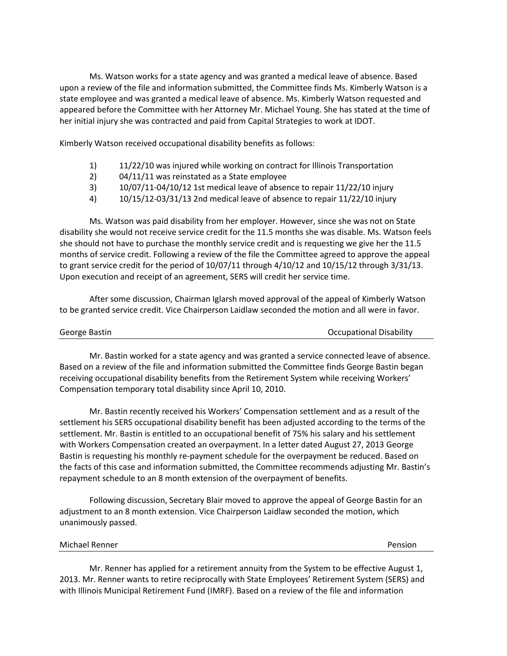Ms. Watson works for a state agency and was granted a medical leave of absence. Based upon a review of the file and information submitted, the Committee finds Ms. Kimberly Watson is a state employee and was granted a medical leave of absence. Ms. Kimberly Watson requested and appeared before the Committee with her Attorney Mr. Michael Young. She has stated at the time of her initial injury she was contracted and paid from Capital Strategies to work at IDOT.

Kimberly Watson received occupational disability benefits as follows:

- 1) 11/22/10 was injured while working on contract for Illinois Transportation
- 2) 04/11/11 was reinstated as a State employee
- 3) 10/07/11-04/10/12 1st medical leave of absence to repair 11/22/10 injury
- 4) 10/15/12-03/31/13 2nd medical leave of absence to repair 11/22/10 injury

Ms. Watson was paid disability from her employer. However, since she was not on State disability she would not receive service credit for the 11.5 months she was disable. Ms. Watson feels she should not have to purchase the monthly service credit and is requesting we give her the 11.5 months of service credit. Following a review of the file the Committee agreed to approve the appeal to grant service credit for the period of 10/07/11 through 4/10/12 and 10/15/12 through 3/31/13. Upon execution and receipt of an agreement, SERS will credit her service time.

After some discussion, Chairman Iglarsh moved approval of the appeal of Kimberly Watson to be granted service credit. Vice Chairperson Laidlaw seconded the motion and all were in favor.

| George Bastin | <b>Occupational Disability</b> |
|---------------|--------------------------------|
|---------------|--------------------------------|

Mr. Bastin worked for a state agency and was granted a service connected leave of absence. Based on a review of the file and information submitted the Committee finds George Bastin began receiving occupational disability benefits from the Retirement System while receiving Workers' Compensation temporary total disability since April 10, 2010.

Mr. Bastin recently received his Workers' Compensation settlement and as a result of the settlement his SERS occupational disability benefit has been adjusted according to the terms of the settlement. Mr. Bastin is entitled to an occupational benefit of 75% his salary and his settlement with Workers Compensation created an overpayment. In a letter dated August 27, 2013 George Bastin is requesting his monthly re-payment schedule for the overpayment be reduced. Based on the facts of this case and information submitted, the Committee recommends adjusting Mr. Bastin's repayment schedule to an 8 month extension of the overpayment of benefits.

Following discussion, Secretary Blair moved to approve the appeal of George Bastin for an adjustment to an 8 month extension. Vice Chairperson Laidlaw seconded the motion, which unanimously passed.

| Michael Renner | Pension |
|----------------|---------|
|----------------|---------|

Mr. Renner has applied for a retirement annuity from the System to be effective August 1, 2013. Mr. Renner wants to retire reciprocally with State Employees' Retirement System (SERS) and with Illinois Municipal Retirement Fund (IMRF). Based on a review of the file and information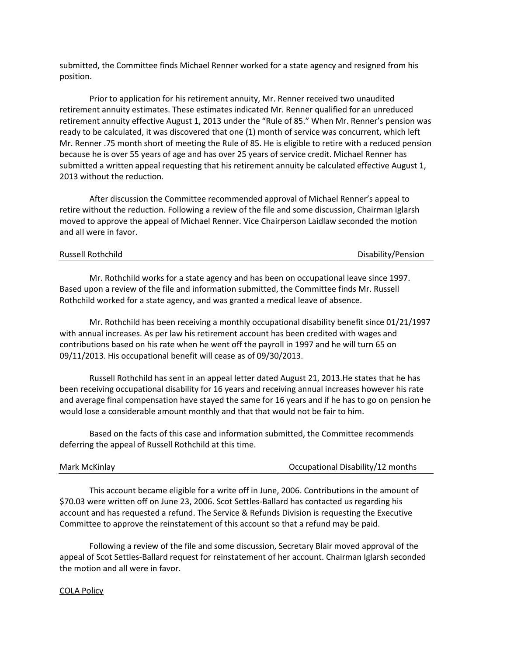submitted, the Committee finds Michael Renner worked for a state agency and resigned from his position.

Prior to application for his retirement annuity, Mr. Renner received two unaudited retirement annuity estimates. These estimates indicated Mr. Renner qualified for an unreduced retirement annuity effective August 1, 2013 under the "Rule of 85." When Mr. Renner's pension was ready to be calculated, it was discovered that one (1) month of service was concurrent, which left Mr. Renner .75 month short of meeting the Rule of 85. He is eligible to retire with a reduced pension because he is over 55 years of age and has over 25 years of service credit. Michael Renner has submitted a written appeal requesting that his retirement annuity be calculated effective August 1, 2013 without the reduction.

After discussion the Committee recommended approval of Michael Renner's appeal to retire without the reduction. Following a review of the file and some discussion, Chairman Iglarsh moved to approve the appeal of Michael Renner. Vice Chairperson Laidlaw seconded the motion and all were in favor.

| Russell Rothchild | Disability/Pension |
|-------------------|--------------------|
|-------------------|--------------------|

Mr. Rothchild works for a state agency and has been on occupational leave since 1997. Based upon a review of the file and information submitted, the Committee finds Mr. Russell Rothchild worked for a state agency, and was granted a medical leave of absence.

Mr. Rothchild has been receiving a monthly occupational disability benefit since 01/21/1997 with annual increases. As per law his retirement account has been credited with wages and contributions based on his rate when he went off the payroll in 1997 and he will turn 65 on 09/11/2013. His occupational benefit will cease as of 09/30/2013.

Russell Rothchild has sent in an appeal letter dated August 21, 2013.He states that he has been receiving occupational disability for 16 years and receiving annual increases however his rate and average final compensation have stayed the same for 16 years and if he has to go on pension he would lose a considerable amount monthly and that that would not be fair to him.

Based on the facts of this case and information submitted, the Committee recommends deferring the appeal of Russell Rothchild at this time.

#### Mark McKinlay Occupational Disability/12 months

This account became eligible for a write off in June, 2006. Contributions in the amount of \$70.03 were written off on June 23, 2006. Scot Settles-Ballard has contacted us regarding his account and has requested a refund. The Service & Refunds Division is requesting the Executive Committee to approve the reinstatement of this account so that a refund may be paid.

Following a review of the file and some discussion, Secretary Blair moved approval of the appeal of Scot Settles-Ballard request for reinstatement of her account. Chairman Iglarsh seconded the motion and all were in favor.

#### COLA Policy